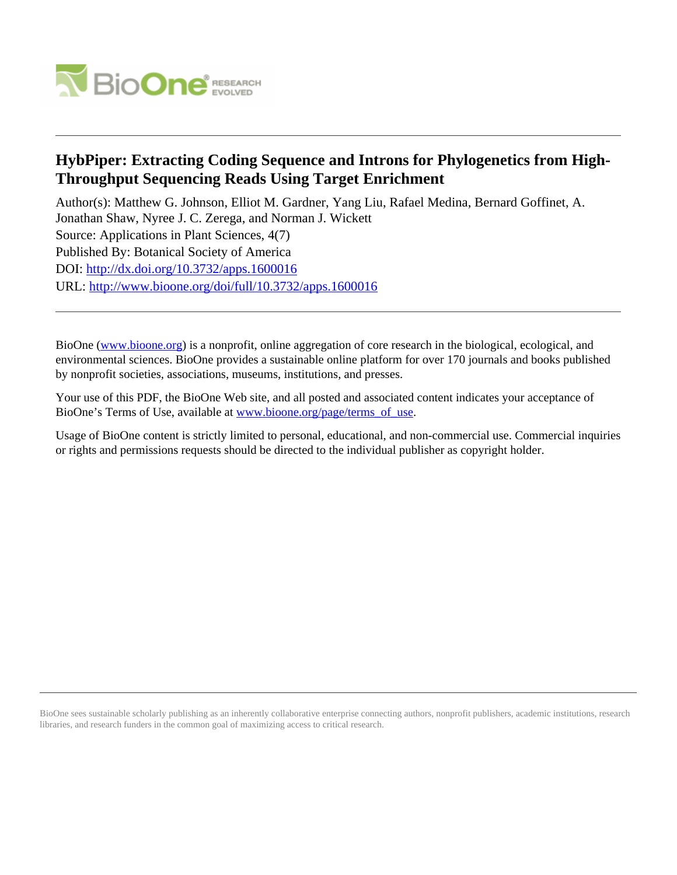

# **HybPiper: Extracting Coding Sequence and Introns for Phylogenetics from High-Throughput Sequencing Reads Using Target Enrichment**

Author(s): Matthew G. Johnson, Elliot M. Gardner, Yang Liu, Rafael Medina, Bernard Goffinet, A. Jonathan Shaw, Nyree J. C. Zerega, and Norman J. Wickett Source: Applications in Plant Sciences, 4(7) Published By: Botanical Society of America DOI:<http://dx.doi.org/10.3732/apps.1600016> URL: <http://www.bioone.org/doi/full/10.3732/apps.1600016>

BioOne [\(www.bioone.org\)](http://www.bioone.org) is a nonprofit, online aggregation of core research in the biological, ecological, and environmental sciences. BioOne provides a sustainable online platform for over 170 journals and books published by nonprofit societies, associations, museums, institutions, and presses.

Your use of this PDF, the BioOne Web site, and all posted and associated content indicates your acceptance of BioOne's Terms of Use, available at [www.bioone.org/page/terms\\_of\\_use.](http://www.bioone.org/page/terms_of_use)

Usage of BioOne content is strictly limited to personal, educational, and non-commercial use. Commercial inquiries or rights and permissions requests should be directed to the individual publisher as copyright holder.

BioOne sees sustainable scholarly publishing as an inherently collaborative enterprise connecting authors, nonprofit publishers, academic institutions, research libraries, and research funders in the common goal of maximizing access to critical research.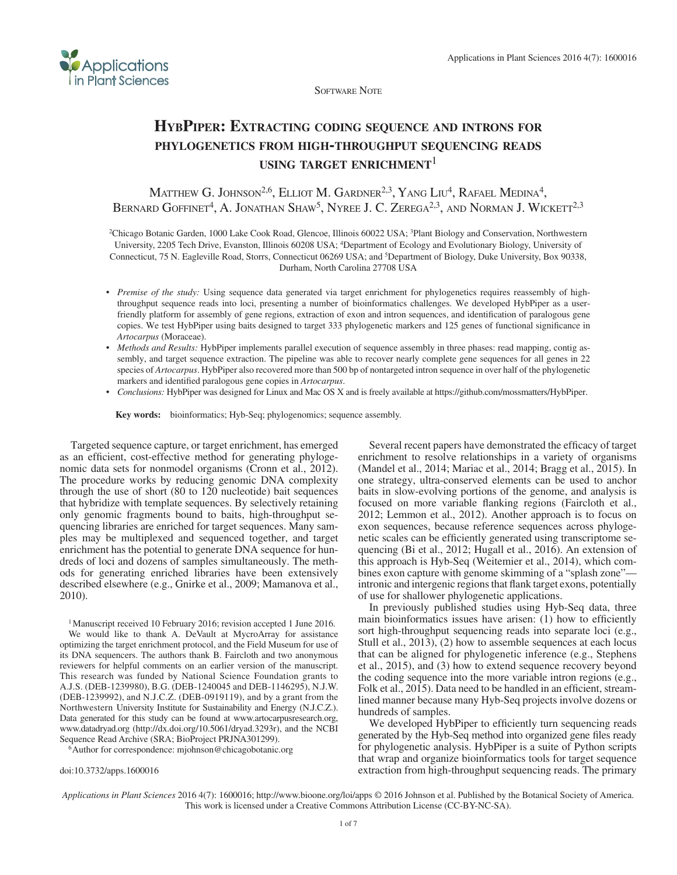

SOFTWARE NOTE

## **HybPiper: Extracting coding sequence and introns for phylogenetics from high-throughput sequencing reads using target enrichment**<sup>1</sup>

MATTHEW G. JOHNSON<sup>2,6</sup>, ELLIOT M. GARDNER<sup>2,3</sup>, YANG LIU<sup>4</sup>, RAFAEL MEDINA<sup>4</sup>, BERNARD GOFFINET<sup>4</sup>, A. JONATHAN SHAW<sup>5</sup>, NYREE J. C. ZEREGA<sup>2,3</sup>, AND NORMAN J. WICKETT<sup>2,3</sup>

2Chicago Botanic Garden, 1000 Lake Cook Road, Glencoe, Illinois 60022 USA; 3Plant Biology and Conservation, Northwestern University, 2205 Tech Drive, Evanston, Illinois 60208 USA; 4Department of Ecology and Evolutionary Biology, University of Connecticut, 75 N. Eagleville Road, Storrs, Connecticut 06269 USA; and 5Department of Biology, Duke University, Box 90338, Durham, North Carolina 27708 USA

- • *Premise of the study:* Using sequence data generated via target enrichment for phylogenetics requires reassembly of highthroughput sequence reads into loci, presenting a number of bioinformatics challenges. We developed HybPiper as a userfriendly platform for assembly of gene regions, extraction of exon and intron sequences, and identification of paralogous gene copies. We test HybPiper using baits designed to target 333 phylogenetic markers and 125 genes of functional significance in *Artocarpus* (Moraceae).
- *Methods and Results:* HybPiper implements parallel execution of sequence assembly in three phases: read mapping, contig assembly, and target sequence extraction. The pipeline was able to recover nearly complete gene sequences for all genes in 22 species of *Artocarpus*. HybPiper also recovered more than 500 bp of nontargeted intron sequence in over half of the phylogenetic markers and identified paralogous gene copies in *Artocarpus*.
- • *Conclusions:* HybPiper was designed for Linux and Mac OS X and is freely available at [https://github.com/mossmatters/HybPiper.](https://github.com/mossmatters/HybPiper)

**Key words:** bioinformatics; Hyb-Seq; phylogenomics; sequence assembly.

Targeted sequence capture, or target enrichment, has emerged as an efficient, cost-effective method for generating phylogenomic data sets for nonmodel organisms (Cronn et al., 2012). The procedure works by reducing genomic DNA complexity through the use of short (80 to 120 nucleotide) bait sequences that hybridize with template sequences. By selectively retaining only genomic fragments bound to baits, high-throughput sequencing libraries are enriched for target sequences. Many samples may be multiplexed and sequenced together, and target enrichment has the potential to generate DNA sequence for hundreds of loci and dozens of samples simultaneously. The methods for generating enriched libraries have been extensively described elsewhere (e.g., Gnirke et al., 2009; Mamanova et al., 2010).

1Manuscript received 10 February 2016; revision accepted 1 June 2016. We would like to thank A. DeVault at MycroArray for assistance optimizing the target enrichment protocol, and the Field Museum for use of its DNA sequencers. The authors thank B. Faircloth and two anonymous reviewers for helpful comments on an earlier version of the manuscript. This research was funded by National Science Foundation grants to A.J.S. (DEB-1239980), B.G. (DEB-1240045 and DEB-1146295), N.J.W. (DEB-1239992), and N.J.C.Z. (DEB-0919119), and by a grant from the Northwestern University Institute for Sustainability and Energy (N.J.C.Z.). Data generated for this study can be found at www.artocarpusresearch.org, <www.datadryad.org> (http://dx.doi.org/10.5061/dryad.3293r), and the NCBI Sequence Read Archive (SRA; BioProject PRJNA301299).

6Author for correspondence: mjohnson@chicagobotanic.org

```
doi:10.3732/apps.1600016
```
Several recent papers have demonstrated the efficacy of target enrichment to resolve relationships in a variety of organisms (Mandel et al., 2014; Mariac et al., 2014; Bragg et al., 2015). In one strategy, ultra-conserved elements can be used to anchor baits in slow-evolving portions of the genome, and analysis is focused on more variable flanking regions (Faircloth et al., 2012; Lemmon et al., 2012). Another approach is to focus on exon sequences, because reference sequences across phylogenetic scales can be efficiently generated using transcriptome sequencing (Bi et al., 2012; Hugall et al., 2016). An extension of this approach is Hyb-Seq (Weitemier et al., 2014), which combines exon capture with genome skimming of a "splash zone" intronic and intergenic regions that flank target exons, potentially of use for shallower phylogenetic applications.

In previously published studies using Hyb-Seq data, three main bioinformatics issues have arisen: (1) how to efficiently sort high-throughput sequencing reads into separate loci (e.g., Stull et al., 2013), (2) how to assemble sequences at each locus that can be aligned for phylogenetic inference (e.g., Stephens et al., 2015), and (3) how to extend sequence recovery beyond the coding sequence into the more variable intron regions (e.g., Folk et al., 2015). Data need to be handled in an efficient, streamlined manner because many Hyb-Seq projects involve dozens or hundreds of samples.

We developed HybPiper to efficiently turn sequencing reads generated by the Hyb-Seq method into organized gene files ready for phylogenetic analysis. HybPiper is a suite of Python scripts that wrap and organize bioinformatics tools for target sequence extraction from high-throughput sequencing reads. The primary

*Applications in Plant Sciences* 2016 4(7): 1600016; http://www.bioone.org/loi/apps © 2016 Johnson et al. Published by the Botanical Society of America. This work is licensed under a Creative Commons Attribution License (CC-BY-NC-SA).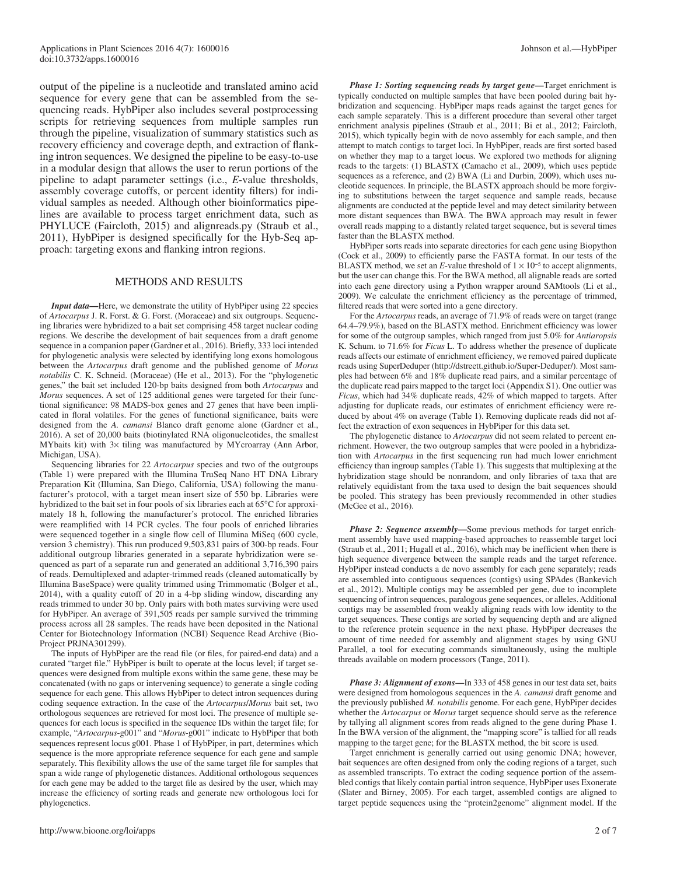output of the pipeline is a nucleotide and translated amino acid sequence for every gene that can be assembled from the sequencing reads. HybPiper also includes several postprocessing scripts for retrieving sequences from multiple samples run through the pipeline, visualization of summary statistics such as recovery efficiency and coverage depth, and extraction of flanking intron sequences. We designed the pipeline to be easy-to-use in a modular design that allows the user to rerun portions of the pipeline to adapt parameter settings (i.e., *E*-value thresholds, assembly coverage cutoffs, or percent identity filters) for individual samples as needed. Although other bioinformatics pipelines are available to process target enrichment data, such as PHYLUCE (Faircloth, 2015) and alignreads.py (Straub et al., 2011), HybPiper is designed specifically for the Hyb-Seq approach: targeting exons and flanking intron regions.

#### METHODS AND RESULTS

*Input data*—Here, we demonstrate the utility of HybPiper using 22 species of *Artocarpus* J. R. Forst. & G. Forst. (Moraceae) and six outgroups. Sequencing libraries were hybridized to a bait set comprising 458 target nuclear coding regions. We describe the development of bait sequences from a draft genome sequence in a companion paper (Gardner et al., 2016). Briefly, 333 loci intended for phylogenetic analysis were selected by identifying long exons homologous between the *Artocarpus* draft genome and the published genome of *Morus notabilis* C. K. Schneid. (Moraceae) (He et al., 2013). For the "phylogenetic genes," the bait set included 120-bp baits designed from both *Artocarpus* and *Morus* sequences. A set of 125 additional genes were targeted for their functional significance: 98 MADS-box genes and 27 genes that have been implicated in floral volatiles. For the genes of functional significance, baits were designed from the *A. camansi* Blanco draft genome alone (Gardner et al., 2016). A set of 20,000 baits (biotinylated RNA oligonucleotides, the smallest MYbaits kit) with 3× tiling was manufactured by MYcroarray (Ann Arbor, Michigan, USA).

Sequencing libraries for 22 *Artocarpus* species and two of the outgroups (Table 1) were prepared with the Illumina TruSeq Nano HT DNA Library Preparation Kit (Illumina, San Diego, California, USA) following the manufacturer's protocol, with a target mean insert size of 550 bp. Libraries were hybridized to the bait set in four pools of six libraries each at 65°C for approximately 18 h, following the manufacturer's protocol. The enriched libraries were reamplified with 14 PCR cycles. The four pools of enriched libraries were sequenced together in a single flow cell of Illumina MiSeq (600 cycle, version 3 chemistry). This run produced 9,503,831 pairs of 300-bp reads. Four additional outgroup libraries generated in a separate hybridization were sequenced as part of a separate run and generated an additional 3,716,390 pairs of reads. Demultiplexed and adapter-trimmed reads (cleaned automatically by Illumina BaseSpace) were quality trimmed using Trimmomatic (Bolger et al., 2014), with a quality cutoff of 20 in a 4-bp sliding window, discarding any reads trimmed to under 30 bp. Only pairs with both mates surviving were used for HybPiper. An average of 391,505 reads per sample survived the trimming process across all 28 samples. The reads have been deposited in the National Center for Biotechnology Information (NCBI) Sequence Read Archive (Bio-Project PRJNA301299).

The inputs of HybPiper are the read file (or files, for paired-end data) and a curated "target file." HybPiper is built to operate at the locus level; if target sequences were designed from multiple exons within the same gene, these may be concatenated (with no gaps or intervening sequence) to generate a single coding sequence for each gene. This allows HybPiper to detect intron sequences during coding sequence extraction. In the case of the *Artocarpus*/*Morus* bait set, two orthologous sequences are retrieved for most loci. The presence of multiple sequences for each locus is specified in the sequence IDs within the target file; for example, "*Artocarpus*-g001" and "*Morus*-g001" indicate to HybPiper that both sequences represent locus g001. Phase 1 of HybPiper, in part, determines which sequence is the more appropriate reference sequence for each gene and sample separately. This flexibility allows the use of the same target file for samples that span a wide range of phylogenetic distances. Additional orthologous sequences for each gene may be added to the target file as desired by the user, which may increase the efficiency of sorting reads and generate new orthologous loci for phylogenetics.

*Phase 1: Sorting sequencing reads by target gene***—**Target enrichment is typically conducted on multiple samples that have been pooled during bait hybridization and sequencing. HybPiper maps reads against the target genes for each sample separately. This is a different procedure than several other target enrichment analysis pipelines (Straub et al., 2011; Bi et al., 2012; Faircloth, 2015), which typically begin with de novo assembly for each sample, and then attempt to match contigs to target loci. In HybPiper, reads are first sorted based on whether they map to a target locus. We explored two methods for aligning reads to the targets: (1) BLASTX (Camacho et al., 2009), which uses peptide sequences as a reference, and (2) BWA (Li and Durbin, 2009), which uses nucleotide sequences. In principle, the BLASTX approach should be more forgiving to substitutions between the target sequence and sample reads, because alignments are conducted at the peptide level and may detect similarity between more distant sequences than BWA. The BWA approach may result in fewer overall reads mapping to a distantly related target sequence, but is several times faster than the BLASTX method.

HybPiper sorts reads into separate directories for each gene using Biopython (Cock et al., 2009) to efficiently parse the FASTA format. In our tests of the BLASTX method, we set an *E*-value threshold of  $1 \times 10^{-5}$  to accept alignments, but the user can change this. For the BWA method, all alignable reads are sorted into each gene directory using a Python wrapper around SAMtools (Li et al., 2009). We calculate the enrichment efficiency as the percentage of trimmed, filtered reads that were sorted into a gene directory.

For the *Artocarpus* reads, an average of 71.9% of reads were on target (range 64.4–79.9%), based on the BLASTX method. Enrichment efficiency was lower for some of the outgroup samples, which ranged from just 5.0% for *Antiaropsis* K. Schum. to 71.6% for *Ficus* L. To address whether the presence of duplicate reads affects our estimate of enrichment efficiency, we removed paired duplicate reads using SuperDeduper (http://dstreett.github.io/Super-Deduper/). Most samples had between 6% and 18% duplicate read pairs, and a similar percentage of the duplicate read pairs mapped to the target loci [\(Appendix S1](http://www.bioone.org/doi/suppl/10.3732/apps.1600016/suppl_file/apps.1600016_ s1_s2_s3_s5_s6.xlsx)). One outlier was *Ficus*, which had 34% duplicate reads, 42% of which mapped to targets. After adjusting for duplicate reads, our estimates of enrichment efficiency were reduced by about 4% on average (Table 1). Removing duplicate reads did not affect the extraction of exon sequences in HybPiper for this data set.

The phylogenetic distance to *Artocarpus* did not seem related to percent enrichment. However, the two outgroup samples that were pooled in a hybridization with *Artocarpus* in the first sequencing run had much lower enrichment efficiency than ingroup samples (Table 1). This suggests that multiplexing at the hybridization stage should be nonrandom, and only libraries of taxa that are relatively equidistant from the taxa used to design the bait sequences should be pooled. This strategy has been previously recommended in other studies (McGee et al., 2016).

*Phase 2: Sequence assembly***—**Some previous methods for target enrichment assembly have used mapping-based approaches to reassemble target loci (Straub et al., 2011; Hugall et al., 2016), which may be inefficient when there is high sequence divergence between the sample reads and the target reference. HybPiper instead conducts a de novo assembly for each gene separately; reads are assembled into contiguous sequences (contigs) using SPAdes (Bankevich et al., 2012). Multiple contigs may be assembled per gene, due to incomplete sequencing of intron sequences, paralogous gene sequences, or alleles. Additional contigs may be assembled from weakly aligning reads with low identity to the target sequences. These contigs are sorted by sequencing depth and are aligned to the reference protein sequence in the next phase. HybPiper decreases the amount of time needed for assembly and alignment stages by using GNU Parallel, a tool for executing commands simultaneously, using the multiple threads available on modern processors (Tange, 2011).

*Phase 3: Alignment of exons***—**In 333 of 458 genes in our test data set, baits were designed from homologous sequences in the *A. camansi* draft genome and the previously published *M. notabilis* genome. For each gene, HybPiper decides whether the *Artocarpus* or *Morus* target sequence should serve as the reference by tallying all alignment scores from reads aligned to the gene during Phase 1. In the BWA version of the alignment, the "mapping score" is tallied for all reads mapping to the target gene; for the BLASTX method, the bit score is used.

Target enrichment is generally carried out using genomic DNA; however, bait sequences are often designed from only the coding regions of a target, such as assembled transcripts. To extract the coding sequence portion of the assembled contigs that likely contain partial intron sequence, HybPiper uses Exonerate (Slater and Birney, 2005). For each target, assembled contigs are aligned to target peptide sequences using the "protein2genome" alignment model. If the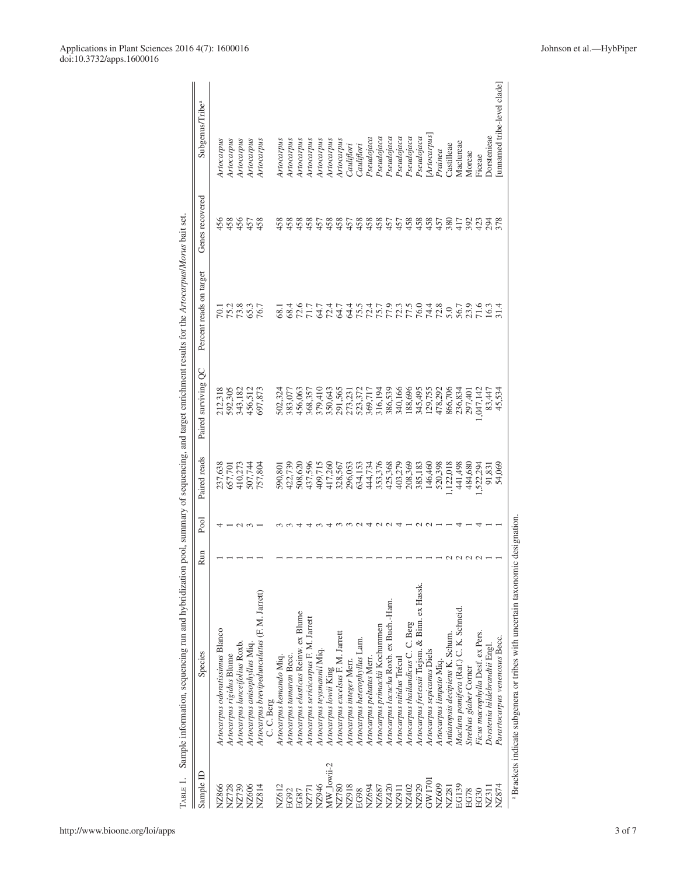| Sample ID       | Species                                                       | Pool<br>Run                                                                               | Paired reads        | Paired surviving QC | Percent reads on target | Genes recovered | Subgenus/Tribeª           |
|-----------------|---------------------------------------------------------------|-------------------------------------------------------------------------------------------|---------------------|---------------------|-------------------------|-----------------|---------------------------|
|                 |                                                               |                                                                                           |                     |                     |                         |                 |                           |
| NZ866           | Artocarpus odoratissimus Blanco                               | 4                                                                                         | 237,638             | 212,318             | 70.1                    | 456             | Artocarpus                |
| NZ728           | Artocarpus rigidus Blume                                      |                                                                                           | 657,701             | 592,305             | 75.2                    | 458             | Artocarpus                |
| NZ739<br>NZ606  | Artocarpus lanceifolius Roxb.<br>Artocarpus anisophyllus Miq. |                                                                                           | 410,273<br>507,744  | 343,182<br>456,512  | 73.8<br>65.3            | 456<br>457      | Artocarpus                |
| NZ814           | Artocarpus brevipedunculatus (F. M. Jarrett)<br>C.C. Berg     | $\alpha$ $\alpha$ $-$                                                                     | 757,804             | 697,873             | 76.7                    | 458             | Artocarpus<br>Artocarpus  |
| NZ612           | Artocarpus kemando Miq.                                       |                                                                                           | 590,801             | 502,324             | 68.1                    | 458             | Artocarpus                |
| EG92            | Artocarpus tamaran Becc.                                      |                                                                                           | 422,739             | 383,077             | 68.4                    | 458             | Artocarpus                |
| EG87            | Artocarpus elasticus Reinw. ex Blume                          | 4                                                                                         | 508,620             | 456,063             | 72.6                    | 458             | Artocarpus                |
| NZ771           | Artocarpus sericicarpus F. M. Jarrett                         |                                                                                           | 437,596             | 368,357             | 71.7                    | 458             | Artocarpus                |
| NZ946           | Artocarpus teysmannii Miq.                                    |                                                                                           | 409,715             | 379,410             | 64.7                    | 457             | Artocarpus                |
| $MW\_lowii-2$   | Artocarpus lowii King                                         |                                                                                           | 417,260             | 350,643             | 72.4                    | 458             | Artocarpus                |
| NZ780<br>NZ918  | Artocarpus excelsus F. M. Jarrett                             |                                                                                           | 296,053<br>328,567  | 291,565             | 64.7                    | 458             | Artocarpus                |
| <b>EG98</b>     | Artocarpus heterophyllus Lam.<br>Artocarpus integer Merr.     | 4 m 4 w w 0 4 0 0 4 4 6 0 0                                                               | 634,153             | 273,231<br>523,372  | <b>64.4</b><br>75.5     | 458<br>457      | Cauliflori<br>Cauliflori  |
| NZ694           | Artocarpus peltatus Merr.                                     |                                                                                           | 444,734             | 369,717             | 72.4                    | 458             | Pseudojaca                |
| NZ687           | Artocarpus primackii Kochumnen                                |                                                                                           | 353,376             | 316,194             | 75.7                    | 458             | Pseudojaca                |
| NZ420           | Artocarpus lacucha Roxb. ex Buch.-Ham.                        |                                                                                           | 425,368             | 386,539             | 77.9                    | 457             | Pseudojaca                |
| NZ911           | Artocarpus nitidus Trécul                                     |                                                                                           | 403,279             | 340,166             | 72.3                    | 457             | Pseudojaca                |
| NZ402           | Artocarpus thailandicus C. C. Berg                            |                                                                                           | 208,369             | 188,696             | 77.5                    |                 | Pseudojaca                |
| NZ929           | Artocarpus fretessii Tiejsm. & Binn. ex Hassk.                |                                                                                           | 385,183             | 345,495             | 76.0                    | 458             | Pseudojaca                |
| GW1701<br>NZ609 | Artocarpus sepicanus Diels                                    |                                                                                           | 146,460             | 129,755<br>478,292  | 74.4<br>72.8            | 458<br>457      | Artocarpus]               |
| NZ281           | Artocarpus limpato Miq.<br>Antiaropsis decipiens K. Schum.    |                                                                                           | 520,398<br>,122,018 | 866,706             | 5.0                     | 380             | Castilleae<br>Prainea     |
| EG139           | Maclura pomifera (Raf.) C. K. Schneid.                        | ᆉ<br>$\begin{array}{c} \mathcal{O} & \mathcal{O} & \mathcal{O} & \mathcal{O} \end{array}$ | 441,498             | 236,834             | 56.7                    | 417             | Maclureae                 |
| <b>EG78</b>     | Streblus glaber Corner                                        |                                                                                           | 484,680             | 297,401             | 23.9                    | 392             | Moreae                    |
| EG30            | Ficus macrophylla Desf. ex Pers.                              |                                                                                           | 522,294             | ,047,142            | 71.6                    | 423             | Ficeae                    |
| NZ311           | Dorstenia hildebrandtii Engl.                                 |                                                                                           | 91,831              | 83,447              | 16.3                    | 294             | Dorstenieae               |
| NZ874           | Parartocarpus venenosus Becc.                                 |                                                                                           | 54,069              | 45,534              | 31.4                    | 378             | unnamed tribe-level clade |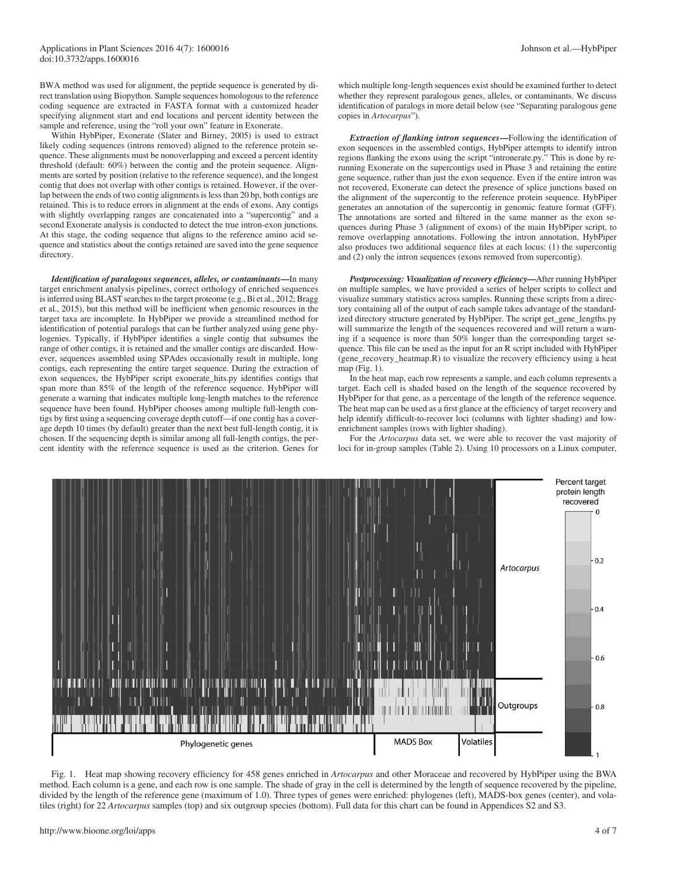BWA method was used for alignment, the peptide sequence is generated by direct translation using Biopython. Sample sequences homologous to the reference coding sequence are extracted in FASTA format with a customized header specifying alignment start and end locations and percent identity between the sample and reference, using the "roll your own" feature in Exonerate.

Within HybPiper, Exonerate (Slater and Birney, 2005) is used to extract likely coding sequences (introns removed) aligned to the reference protein sequence. These alignments must be nonoverlapping and exceed a percent identity threshold (default: 60%) between the contig and the protein sequence. Alignments are sorted by position (relative to the reference sequence), and the longest contig that does not overlap with other contigs is retained. However, if the overlap between the ends of two contig alignments is less than 20 bp, both contigs are retained. This is to reduce errors in alignment at the ends of exons. Any contigs with slightly overlapping ranges are concatenated into a "supercontig" and a second Exonerate analysis is conducted to detect the true intron-exon junctions. At this stage, the coding sequence that aligns to the reference amino acid sequence and statistics about the contigs retained are saved into the gene sequence directory.

*Identification of paralogous sequences, alleles, or contaminants***—**In many target enrichment analysis pipelines, correct orthology of enriched sequences is inferred using BLAST searches to the target proteome (e.g., Bi et al., 2012; Bragg et al., 2015), but this method will be inefficient when genomic resources in the target taxa are incomplete. In HybPiper we provide a streamlined method for identification of potential paralogs that can be further analyzed using gene phylogenies. Typically, if HybPiper identifies a single contig that subsumes the range of other contigs, it is retained and the smaller contigs are discarded. However, sequences assembled using SPAdes occasionally result in multiple, long contigs, each representing the entire target sequence. During the extraction of exon sequences, the HybPiper script exonerate\_hits.py identifies contigs that span more than 85% of the length of the reference sequence. HybPiper will generate a warning that indicates multiple long-length matches to the reference sequence have been found. HybPiper chooses among multiple full-length contigs by first using a sequencing coverage depth cutoff—if one contig has a coverage depth 10 times (by default) greater than the next best full-length contig, it is chosen. If the sequencing depth is similar among all full-length contigs, the percent identity with the reference sequence is used as the criterion. Genes for

which multiple long-length sequences exist should be examined further to detect whether they represent paralogous genes, alleles, or contaminants. We discuss identification of paralogs in more detail below (see "Separating paralogous gene copies in *Artocarpus*").

*Extraction of flanking intron sequences***—**Following the identification of exon sequences in the assembled contigs, HybPiper attempts to identify intron regions flanking the exons using the script "intronerate.py." This is done by rerunning Exonerate on the supercontigs used in Phase 3 and retaining the entire gene sequence, rather than just the exon sequence. Even if the entire intron was not recovered, Exonerate can detect the presence of splice junctions based on the alignment of the supercontig to the reference protein sequence. HybPiper generates an annotation of the supercontig in genomic feature format (GFF). The annotations are sorted and filtered in the same manner as the exon sequences during Phase 3 (alignment of exons) of the main HybPiper script, to remove overlapping annotations. Following the intron annotation, HybPiper also produces two additional sequence files at each locus: (1) the supercontig and (2) only the intron sequences (exons removed from supercontig).

*Postprocessing: Visualization of recovery efficiency***—**After running HybPiper on multiple samples, we have provided a series of helper scripts to collect and visualize summary statistics across samples. Running these scripts from a directory containing all of the output of each sample takes advantage of the standardized directory structure generated by HybPiper. The script get\_gene\_lengths.py will summarize the length of the sequences recovered and will return a warning if a sequence is more than 50% longer than the corresponding target sequence. This file can be used as the input for an R script included with HybPiper (gene\_recovery\_heatmap.R) to visualize the recovery efficiency using a heat man  $(Fio 1)$ .

In the heat map, each row represents a sample, and each column represents a target. Each cell is shaded based on the length of the sequence recovered by HybPiper for that gene, as a percentage of the length of the reference sequence. The heat map can be used as a first glance at the efficiency of target recovery and help identify difficult-to-recover loci (columns with lighter shading) and lowenrichment samples (rows with lighter shading).

For the *Artocarpus* data set, we were able to recover the vast majority of loci for in-group samples (Table 2). Using 10 processors on a Linux computer,



Fig. 1. Heat map showing recovery efficiency for 458 genes enriched in *Artocarpus* and other Moraceae and recovered by HybPiper using the BWA method. Each column is a gene, and each row is one sample. The shade of gray in the cell is determined by the length of sequence recovered by the pipeline, divided by the length of the reference gene (maximum of 1.0). Three types of genes were enriched: phylogenes (left), MADS-box genes (center), and volatiles (right) for 22 *Artocarpus* samples (top) and six outgroup species (bottom). Full data for this chart can be found in [Appendices S2](http://www.bioone.org/doi/suppl/10.3732/apps.1600016/suppl_file/apps.1600016_%20s1_s2_s3_s5_s6.xlsx) and [S3.](http://www.bioone.org/doi/suppl/10.3732/apps.1600016/suppl_file/apps.1600016_ s1_s2_s3_s5_s6.xlsx)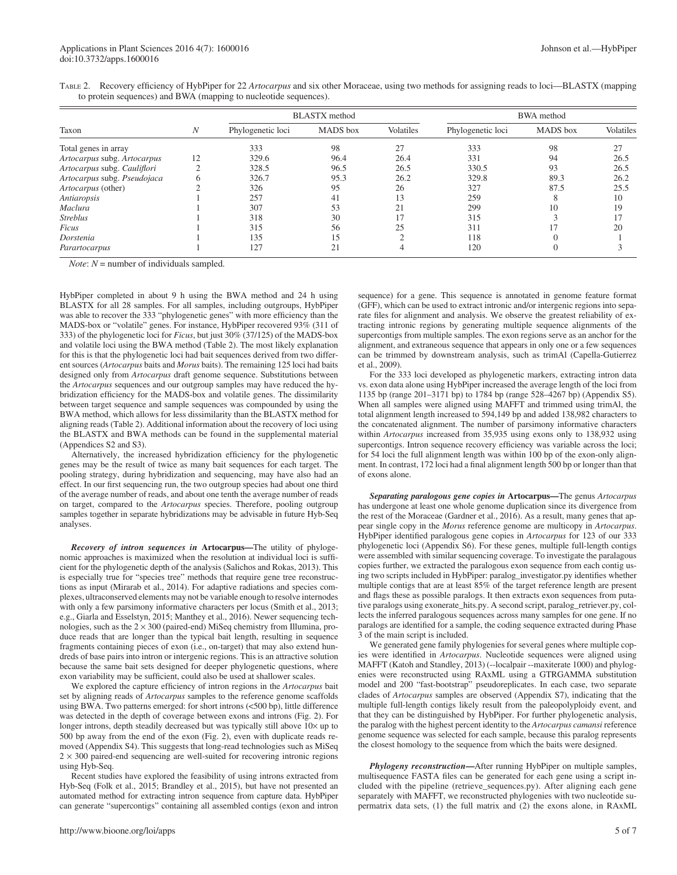| TABLE 2. Recovery efficiency of HybPiper for 22 Artocarpus and six other Moraceae, using two methods for assigning reads to loci—BLASTX (mapping |  |
|--------------------------------------------------------------------------------------------------------------------------------------------------|--|
| to protein sequences) and BWA (mapping to nucleotide sequences).                                                                                 |  |

|                             |    | <b>BLASTX</b> method |          |           | <b>BWA</b> method |          |                  |
|-----------------------------|----|----------------------|----------|-----------|-------------------|----------|------------------|
| Taxon                       | N  | Phylogenetic loci    | MADS box | Volatiles | Phylogenetic loci | MADS box | <b>Volatiles</b> |
| Total genes in array        |    | 333                  | 98       | 27        | 333               | 98       | 27               |
| Artocarpus subg. Artocarpus | 12 | 329.6                | 96.4     | 26.4      | 331               | 94       | 26.5             |
| Artocarpus subg. Cauliflori |    | 328.5                | 96.5     | 26.5      | 330.5             | 93       | 26.5             |
| Artocarpus subg. Pseudojaca | h  | 326.7                | 95.3     | 26.2      | 329.8             | 89.3     | 26.2             |
| Artocarpus (other)          |    | 326                  | 95       | 26        | 327               | 87.5     | 25.5             |
| Antiaropsis                 |    | 257                  | 41       | 13        | 259               | 8        | 10               |
| Maclura                     |    | 307                  | 53       | 21        | 299               | 10       | 19               |
| <b>Streblus</b>             |    | 318                  | 30       | 17        | 315               |          | 17               |
| Ficus                       |    | 315                  | 56       | 25        | 311               |          | 20               |
| Dorstenia                   |    | 135                  | 15       |           | 118               |          |                  |
| Parartocarpus               |    | 127                  | 21       |           | 120               |          |                  |

*Note*: *N* = number of individuals sampled.

HybPiper completed in about 9 h using the BWA method and 24 h using BLASTX for all 28 samples. For all samples, including outgroups, HybPiper was able to recover the 333 "phylogenetic genes" with more efficiency than the MADS-box or "volatile" genes. For instance, HybPiper recovered 93% (311 of 333) of the phylogenetic loci for *Ficus*, but just 30% (37/125) of the MADS-box and volatile loci using the BWA method (Table 2). The most likely explanation for this is that the phylogenetic loci had bait sequences derived from two different sources (*Artocarpus* baits and *Morus* baits). The remaining 125 loci had baits designed only from *Artocarpus* draft genome sequence. Substitutions between the *Artocarpus* sequences and our outgroup samples may have reduced the hybridization efficiency for the MADS-box and volatile genes. The dissimilarity between target sequence and sample sequences was compounded by using the BWA method, which allows for less dissimilarity than the BLASTX method for aligning reads (Table 2). Additional information about the recovery of loci using the BLASTX and BWA methods can be found in the supplemental material ([Appendices S2](http://www.bioone.org/doi/suppl/10.3732/apps.1600016/suppl_file/apps.1600016_ s1_s2_s3_s5_s6.xlsx) and [S3](http://www.bioone.org/doi/suppl/10.3732/apps.1600016/suppl_file/apps.1600016_ s1_s2_s3_s5_s6.xlsx)).

Alternatively, the increased hybridization efficiency for the phylogenetic genes may be the result of twice as many bait sequences for each target. The pooling strategy, during hybridization and sequencing, may have also had an effect. In our first sequencing run, the two outgroup species had about one third of the average number of reads, and about one tenth the average number of reads on target, compared to the *Artocarpus* species. Therefore, pooling outgroup samples together in separate hybridizations may be advisable in future Hyb-Seq analyses.

*Recovery of intron sequences in* **Artocarpus—**The utility of phylogenomic approaches is maximized when the resolution at individual loci is sufficient for the phylogenetic depth of the analysis (Salichos and Rokas, 2013). This is especially true for "species tree" methods that require gene tree reconstructions as input (Mirarab et al., 2014). For adaptive radiations and species complexes, ultraconserved elements may not be variable enough to resolve internodes with only a few parsimony informative characters per locus (Smith et al., 2013; e.g., Giarla and Esselstyn, 2015; Manthey et al., 2016). Newer sequencing technologies, such as the  $2 \times 300$  (paired-end) MiSeq chemistry from Illumina, produce reads that are longer than the typical bait length, resulting in sequence fragments containing pieces of exon (i.e., on-target) that may also extend hundreds of base pairs into intron or intergenic regions. This is an attractive solution because the same bait sets designed for deeper phylogenetic questions, where exon variability may be sufficient, could also be used at shallower scales.

We explored the capture efficiency of intron regions in the *Artocarpus* bait set by aligning reads of *Artocarpus* samples to the reference genome scaffolds using BWA. Two patterns emerged: for short introns (<500 bp), little difference was detected in the depth of coverage between exons and introns (Fig. 2). For longer introns, depth steadily decreased but was typically still above 10× up to 500 bp away from the end of the exon (Fig. 2), even with duplicate reads removed [\(Appendix S4](http://www.bioone.org/doi/suppl/10.3732/apps.1600016/suppl_file/apps.1600016_s4.pdf)). This suggests that long-read technologies such as MiSeq  $2 \times 300$  paired-end sequencing are well-suited for recovering intronic regions using Hyb-Seq.

Recent studies have explored the feasibility of using introns extracted from Hyb-Seq (Folk et al., 2015; Brandley et al., 2015), but have not presented an automated method for extracting intron sequence from capture data. HybPiper can generate "supercontigs" containing all assembled contigs (exon and intron

sequence) for a gene. This sequence is annotated in genome feature format (GFF), which can be used to extract intronic and/or intergenic regions into separate files for alignment and analysis. We observe the greatest reliability of extracting intronic regions by generating multiple sequence alignments of the supercontigs from multiple samples. The exon regions serve as an anchor for the alignment, and extraneous sequence that appears in only one or a few sequences can be trimmed by downstream analysis, such as trimAl (Capella-Gutierrez et al., 2009).

For the 333 loci developed as phylogenetic markers, extracting intron data vs. exon data alone using HybPiper increased the average length of the loci from 1135 bp (range 201–3171 bp) to 1784 bp (range 528–4267 bp) ([Appendix S5](http://www.bioone.org/doi/suppl/10.3732/apps.1600016/suppl_file/apps.1600016_ s1_s2_s3_s5_s6.xlsx)). When all samples were aligned using MAFFT and trimmed using trimAl, the total alignment length increased to 594,149 bp and added 138,982 characters to the concatenated alignment. The number of parsimony informative characters within *Artocarpus* increased from 35,935 using exons only to 138,932 using supercontigs. Intron sequence recovery efficiency was variable across the loci; for 54 loci the full alignment length was within 100 bp of the exon-only alignment. In contrast, 172 loci had a final alignment length 500 bp or longer than that of exons alone.

*Separating paralogous gene copies in* **Artocarpus—**The genus *Artocarpus* has undergone at least one whole genome duplication since its divergence from the rest of the Moraceae (Gardner et al., 2016). As a result, many genes that appear single copy in the *Morus* reference genome are multicopy in *Artocarpus*. HybPiper identified paralogous gene copies in *Artocarpus* for 123 of our 333 phylogenetic loci [\(Appendix S6](http://www.bioone.org/doi/suppl/10.3732/apps.1600016/suppl_file/apps.1600016_ s1_s2_s3_s5_s6.xlsx)). For these genes, multiple full-length contigs were assembled with similar sequencing coverage. To investigate the paralagous copies further, we extracted the paralogous exon sequence from each contig using two scripts included in HybPiper: paralog\_investigator.py identifies whether multiple contigs that are at least 85% of the target reference length are present and flags these as possible paralogs. It then extracts exon sequences from putative paralogs using exonerate\_hits.py. A second script, paralog\_retriever.py, collects the inferred paralogous sequences across many samples for one gene. If no paralogs are identified for a sample, the coding sequence extracted during Phase 3 of the main script is included.

We generated gene family phylogenies for several genes where multiple copies were identified in *Artocarpus*. Nucleotide sequences were aligned using MAFFT (Katoh and Standley, 2013) (--localpair --maxiterate 1000) and phylogenies were reconstructed using RAxML using a GTRGAMMA substitution model and 200 "fast-bootstrap" pseudoreplicates. In each case, two separate clades of *Artocarpus* samples are observed [\(Appendix S7](http://www.bioone.org/doi/suppl/10.3732/apps.1600016/suppl_file/apps.1600016_s7.pdf)), indicating that the multiple full-length contigs likely result from the paleopolyploidy event, and that they can be distinguished by HybPiper. For further phylogenetic analysis, the paralog with the highest percent identity to the *Artocarpus camansi* reference genome sequence was selected for each sample, because this paralog represents the closest homology to the sequence from which the baits were designed.

*Phylogeny reconstruction***—**After running HybPiper on multiple samples, multisequence FASTA files can be generated for each gene using a script included with the pipeline (retrieve\_sequences.py). After aligning each gene separately with MAFFT, we reconstructed phylogenies with two nucleotide supermatrix data sets, (1) the full matrix and (2) the exons alone, in RAxML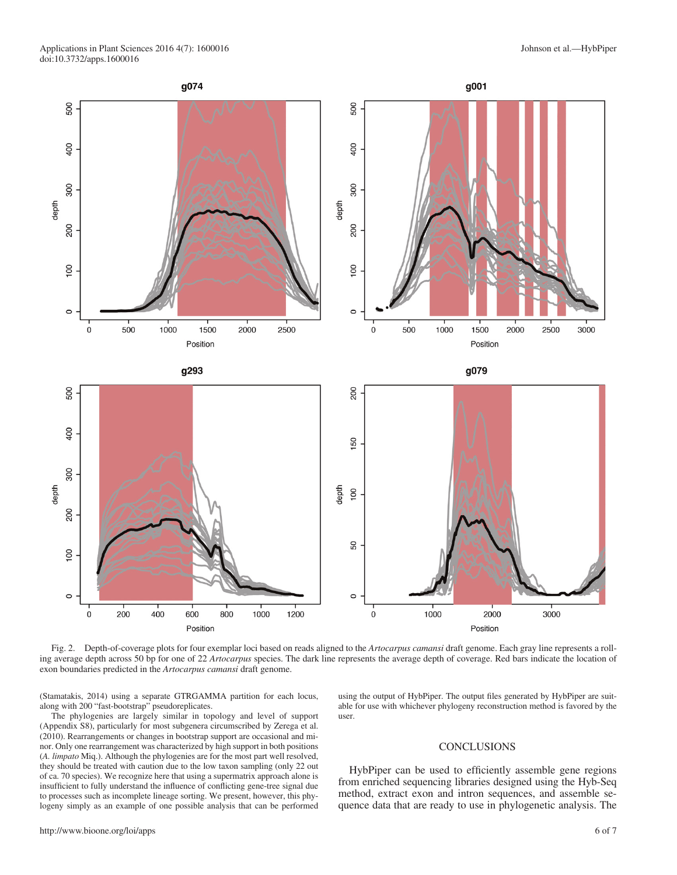

Fig. 2. Depth-of-coverage plots for four exemplar loci based on reads aligned to the *Artocarpus camansi* draft genome. Each gray line represents a rolling average depth across 50 bp for one of 22 *Artocarpus* species. The dark line represents the average depth of coverage. Red bars indicate the location of exon boundaries predicted in the *Artocarpus camansi* draft genome.

(Stamatakis, 2014) using a separate GTRGAMMA partition for each locus, along with 200 "fast-bootstrap" pseudoreplicates.

The phylogenies are largely similar in topology and level of support ([Appendix S8\)](http://www.bioone.org/doi/suppl/10.3732/apps.1600016/suppl_file/apps.1600016_s8.pdf), particularly for most subgenera circumscribed by Zerega et al. (2010). Rearrangements or changes in bootstrap support are occasional and minor. Only one rearrangement was characterized by high support in both positions (*A. limpato* Miq.). Although the phylogenies are for the most part well resolved, they should be treated with caution due to the low taxon sampling (only 22 out of ca. 70 species). We recognize here that using a supermatrix approach alone is insufficient to fully understand the influence of conflicting gene-tree signal due to processes such as incomplete lineage sorting. We present, however, this phylogeny simply as an example of one possible analysis that can be performed

using the output of HybPiper. The output files generated by HybPiper are suitable for use with whichever phylogeny reconstruction method is favored by the user.

### **CONCLUSIONS**

HybPiper can be used to efficiently assemble gene regions from enriched sequencing libraries designed using the Hyb-Seq method, extract exon and intron sequences, and assemble sequence data that are ready to use in phylogenetic analysis. The